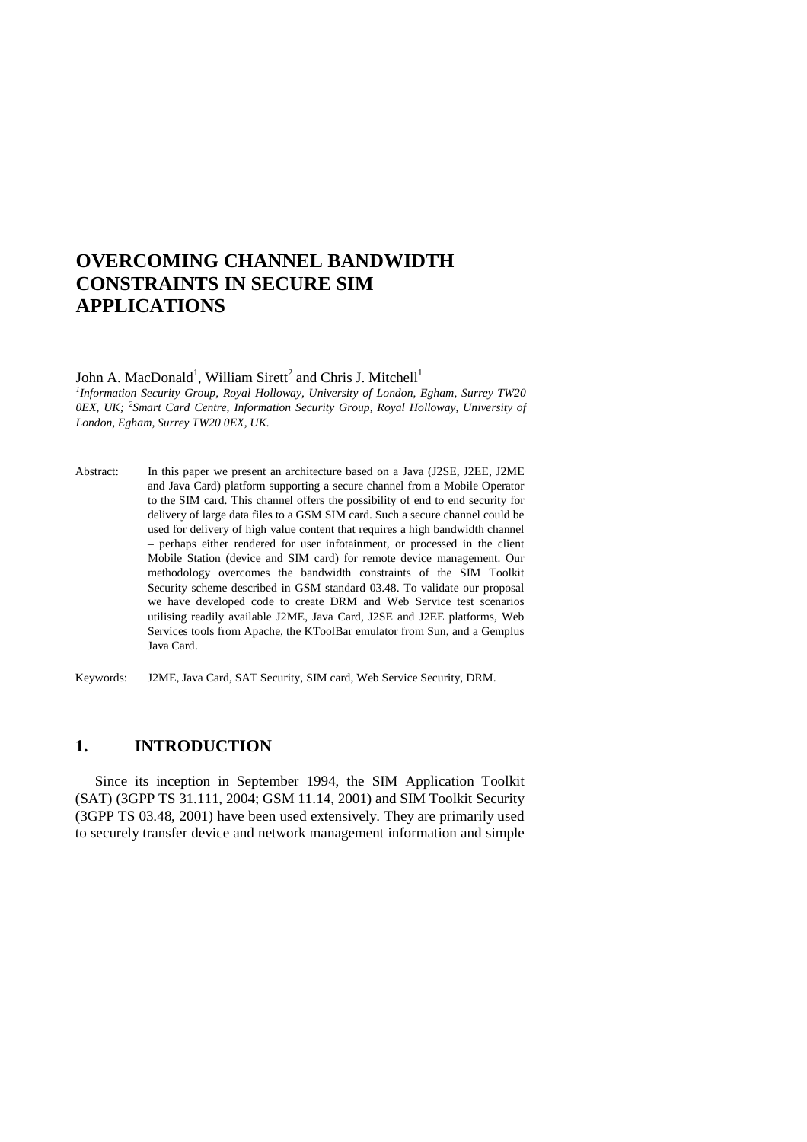## John A. MacDonald<sup>1</sup>, William Sirett<sup>2</sup> and Chris J. Mitchell<sup>1</sup>

*1 Information Security Group, Royal Holloway, University of London, Egham, Surrey TW20 0EX, UK; <sup>2</sup> Smart Card Centre, Information Security Group, Royal Holloway, University of London, Egham, Surrey TW20 0EX, UK.* 

Abstract: In this paper we present an architecture based on a Java (J2SE, J2EE, J2ME) and Java Card) platform supporting a secure channel from a Mobile Operator to the SIM card. This channel offers the possibility of end to end security for delivery of large data files to a GSM SIM card. Such a secure channel could be used for delivery of high value content that requires a high bandwidth channel – perhaps either rendered for user infotainment, or processed in the client Mobile Station (device and SIM card) for remote device management. Our methodology overcomes the bandwidth constraints of the SIM Toolkit Security scheme described in GSM standard 03.48. To validate our proposal we have developed code to create DRM and Web Service test scenarios utilising readily available J2ME, Java Card, J2SE and J2EE platforms, Web Services tools from Apache, the KToolBar emulator from Sun, and a Gemplus Java Card.

Keywords: J2ME, Java Card, SAT Security, SIM card, Web Service Security, DRM.

## **1. INTRODUCTION**

Since its inception in September 1994, the SIM Application Toolkit (SAT) (3GPP TS 31.111, 2004; GSM 11.14, 2001) and SIM Toolkit Security (3GPP TS 03.48, 2001) have been used extensively. They are primarily used to securely transfer device and network management information and simple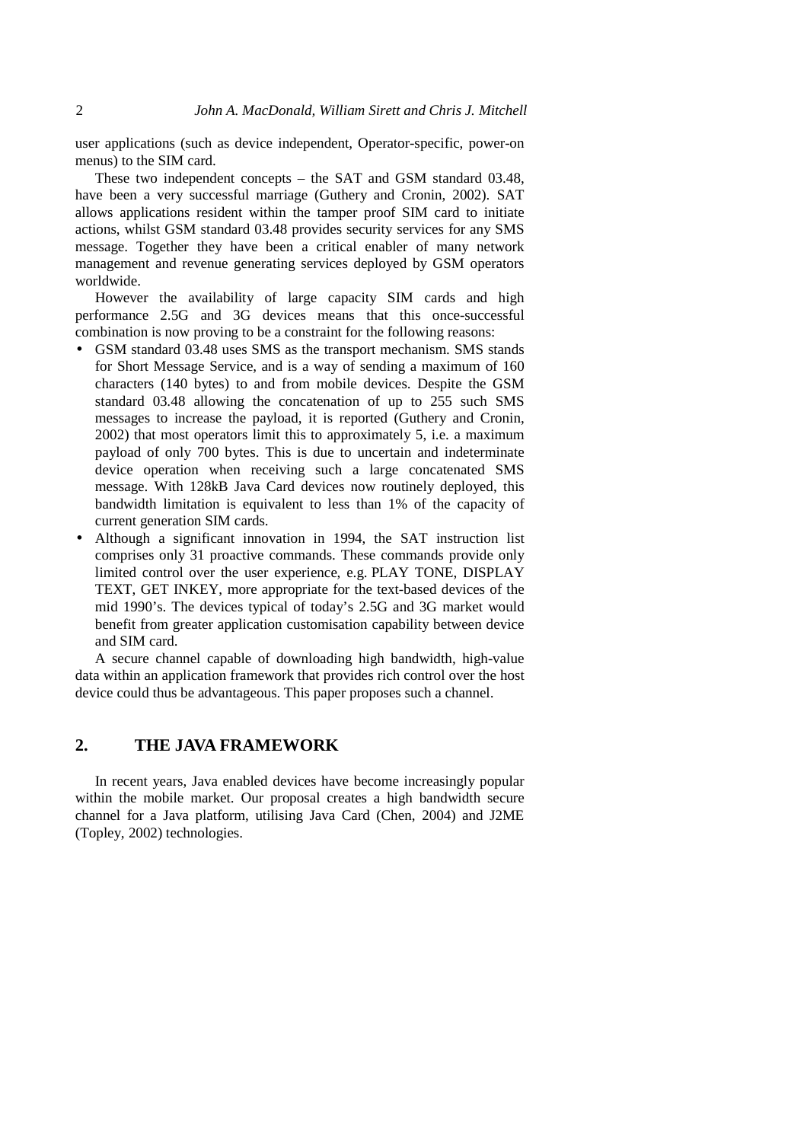user applications (such as device independent, Operator-specific, power-on menus) to the SIM card.

These two independent concepts – the SAT and GSM standard 03.48, have been a very successful marriage (Guthery and Cronin, 2002). SAT allows applications resident within the tamper proof SIM card to initiate actions, whilst GSM standard 03.48 provides security services for any SMS message. Together they have been a critical enabler of many network management and revenue generating services deployed by GSM operators worldwide.

However the availability of large capacity SIM cards and high performance 2.5G and 3G devices means that this once-successful combination is now proving to be a constraint for the following reasons:

- GSM standard 03.48 uses SMS as the transport mechanism. SMS stands for Short Message Service, and is a way of sending a maximum of 160 characters (140 bytes) to and from mobile devices. Despite the GSM standard 03.48 allowing the concatenation of up to 255 such SMS messages to increase the payload, it is reported (Guthery and Cronin, 2002) that most operators limit this to approximately 5, i.e. a maximum payload of only 700 bytes. This is due to uncertain and indeterminate device operation when receiving such a large concatenated SMS message. With 128kB Java Card devices now routinely deployed, this bandwidth limitation is equivalent to less than 1% of the capacity of current generation SIM cards.
- Although a significant innovation in 1994, the SAT instruction list comprises only 31 proactive commands. These commands provide only limited control over the user experience, e.g. PLAY TONE, DISPLAY TEXT, GET INKEY, more appropriate for the text-based devices of the mid 1990's. The devices typical of today's 2.5G and 3G market would benefit from greater application customisation capability between device and SIM card.

A secure channel capable of downloading high bandwidth, high-value data within an application framework that provides rich control over the host device could thus be advantageous. This paper proposes such a channel.

## **2. THE JAVA FRAMEWORK**

In recent years, Java enabled devices have become increasingly popular within the mobile market. Our proposal creates a high bandwidth secure channel for a Java platform, utilising Java Card (Chen, 2004) and J2ME (Topley, 2002) technologies.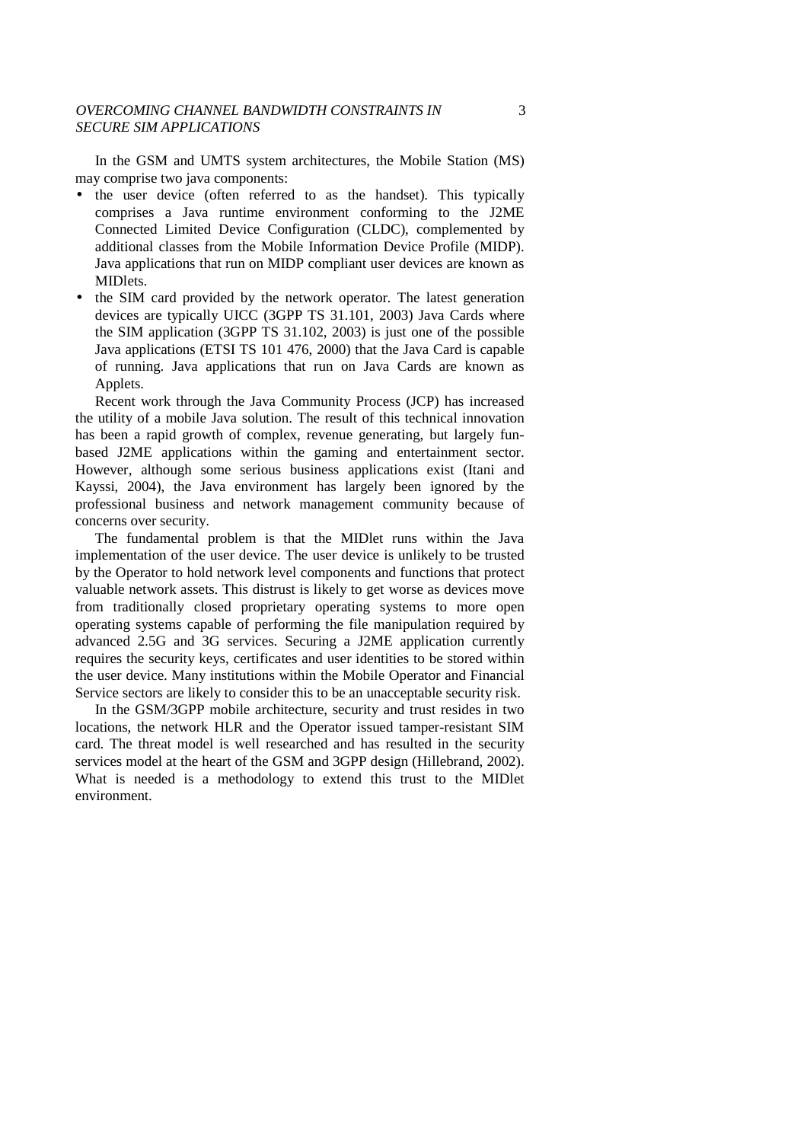In the GSM and UMTS system architectures, the Mobile Station (MS) may comprise two java components:

- the user device (often referred to as the handset). This typically comprises a Java runtime environment conforming to the J2ME Connected Limited Device Configuration (CLDC), complemented by additional classes from the Mobile Information Device Profile (MIDP). Java applications that run on MIDP compliant user devices are known as MIDlets.
- the SIM card provided by the network operator. The latest generation devices are typically UICC (3GPP TS 31.101, 2003) Java Cards where the SIM application (3GPP TS 31.102, 2003) is just one of the possible Java applications (ETSI TS 101 476, 2000) that the Java Card is capable of running. Java applications that run on Java Cards are known as Applets.

Recent work through the Java Community Process (JCP) has increased the utility of a mobile Java solution. The result of this technical innovation has been a rapid growth of complex, revenue generating, but largely funbased J2ME applications within the gaming and entertainment sector. However, although some serious business applications exist (Itani and Kayssi, 2004), the Java environment has largely been ignored by the professional business and network management community because of concerns over security.

The fundamental problem is that the MIDlet runs within the Java implementation of the user device. The user device is unlikely to be trusted by the Operator to hold network level components and functions that protect valuable network assets. This distrust is likely to get worse as devices move from traditionally closed proprietary operating systems to more open operating systems capable of performing the file manipulation required by advanced 2.5G and 3G services. Securing a J2ME application currently requires the security keys, certificates and user identities to be stored within the user device. Many institutions within the Mobile Operator and Financial Service sectors are likely to consider this to be an unacceptable security risk.

In the GSM/3GPP mobile architecture, security and trust resides in two locations, the network HLR and the Operator issued tamper-resistant SIM card. The threat model is well researched and has resulted in the security services model at the heart of the GSM and 3GPP design (Hillebrand, 2002). What is needed is a methodology to extend this trust to the MIDlet environment.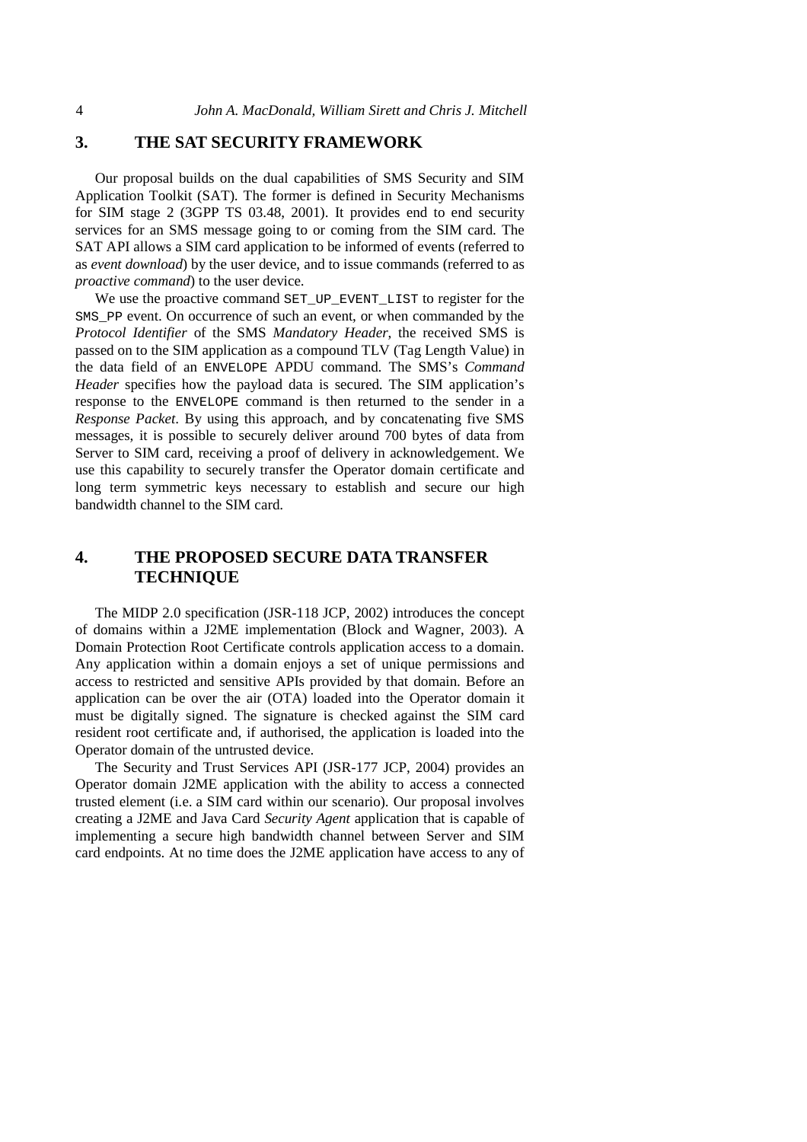## **3. THE SAT SECURITY FRAMEWORK**

Our proposal builds on the dual capabilities of SMS Security and SIM Application Toolkit (SAT). The former is defined in Security Mechanisms for SIM stage 2 (3GPP TS 03.48, 2001). It provides end to end security services for an SMS message going to or coming from the SIM card. The SAT API allows a SIM card application to be informed of events (referred to as *event download*) by the user device, and to issue commands (referred to as *proactive command*) to the user device.

We use the proactive command SET\_UP\_EVENT\_LIST to register for the SMS\_PP event. On occurrence of such an event, or when commanded by the *Protocol Identifier* of the SMS *Mandatory Header*, the received SMS is passed on to the SIM application as a compound TLV (Tag Length Value) in the data field of an ENVELOPE APDU command. The SMS's *Command Header* specifies how the payload data is secured. The SIM application's response to the ENVELOPE command is then returned to the sender in a *Response Packet*. By using this approach, and by concatenating five SMS messages, it is possible to securely deliver around 700 bytes of data from Server to SIM card, receiving a proof of delivery in acknowledgement. We use this capability to securely transfer the Operator domain certificate and long term symmetric keys necessary to establish and secure our high bandwidth channel to the SIM card.

## **4. THE PROPOSED SECURE DATA TRANSFER TECHNIQUE**

The MIDP 2.0 specification (JSR-118 JCP, 2002) introduces the concept of domains within a J2ME implementation (Block and Wagner, 2003). A Domain Protection Root Certificate controls application access to a domain. Any application within a domain enjoys a set of unique permissions and access to restricted and sensitive APIs provided by that domain. Before an application can be over the air (OTA) loaded into the Operator domain it must be digitally signed. The signature is checked against the SIM card resident root certificate and, if authorised, the application is loaded into the Operator domain of the untrusted device.

The Security and Trust Services API (JSR-177 JCP, 2004) provides an Operator domain J2ME application with the ability to access a connected trusted element (i.e. a SIM card within our scenario). Our proposal involves creating a J2ME and Java Card *Security Agent* application that is capable of implementing a secure high bandwidth channel between Server and SIM card endpoints. At no time does the J2ME application have access to any of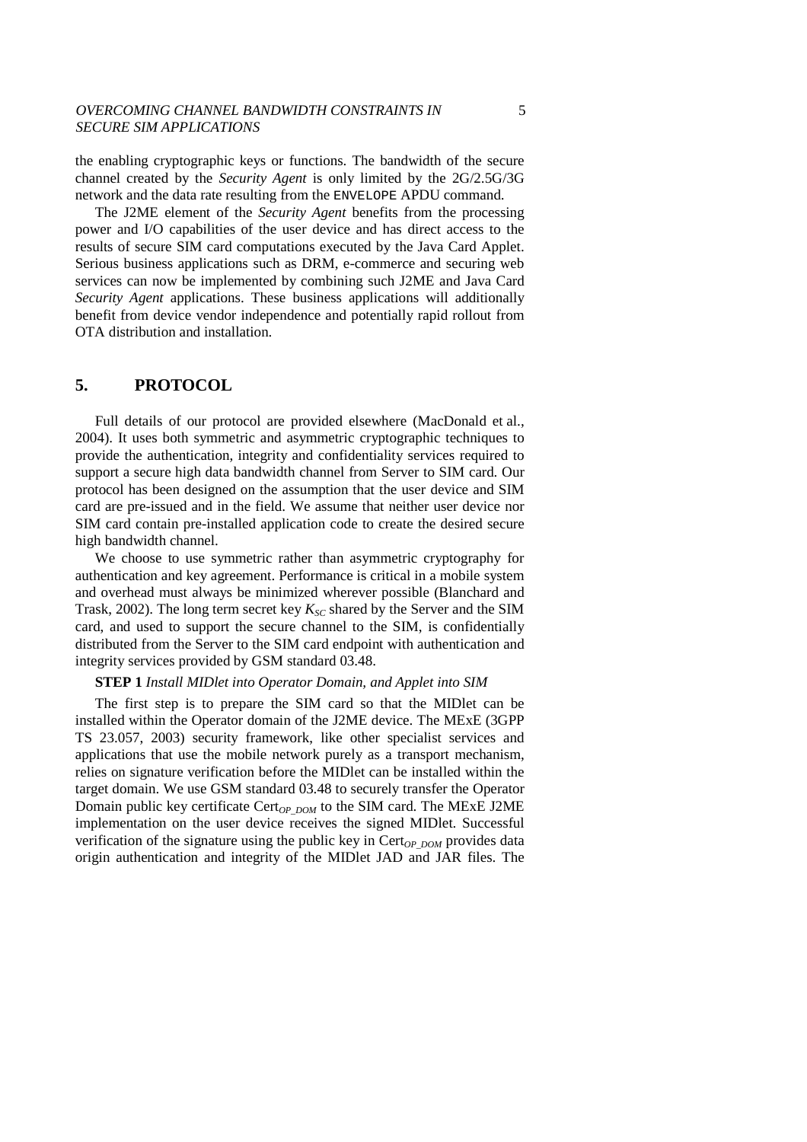the enabling cryptographic keys or functions. The bandwidth of the secure channel created by the *Security Agent* is only limited by the 2G/2.5G/3G network and the data rate resulting from the ENVELOPE APDU command.

The J2ME element of the *Security Agent* benefits from the processing power and I/O capabilities of the user device and has direct access to the results of secure SIM card computations executed by the Java Card Applet. Serious business applications such as DRM, e-commerce and securing web services can now be implemented by combining such J2ME and Java Card *Security Agent* applications. These business applications will additionally benefit from device vendor independence and potentially rapid rollout from OTA distribution and installation.

## **5. PROTOCOL**

Full details of our protocol are provided elsewhere (MacDonald et al., 2004). It uses both symmetric and asymmetric cryptographic techniques to provide the authentication, integrity and confidentiality services required to support a secure high data bandwidth channel from Server to SIM card. Our protocol has been designed on the assumption that the user device and SIM card are pre-issued and in the field. We assume that neither user device nor SIM card contain pre-installed application code to create the desired secure high bandwidth channel.

We choose to use symmetric rather than asymmetric cryptography for authentication and key agreement. Performance is critical in a mobile system and overhead must always be minimized wherever possible (Blanchard and Trask, 2002). The long term secret key  $K_{SC}$  shared by the Server and the SIM card, and used to support the secure channel to the SIM, is confidentially distributed from the Server to the SIM card endpoint with authentication and integrity services provided by GSM standard 03.48.

#### **STEP 1** *Install MIDlet into Operator Domain, and Applet into SIM*

The first step is to prepare the SIM card so that the MIDlet can be installed within the Operator domain of the J2ME device. The MExE (3GPP TS 23.057, 2003) security framework, like other specialist services and applications that use the mobile network purely as a transport mechanism, relies on signature verification before the MIDlet can be installed within the target domain. We use GSM standard 03.48 to securely transfer the Operator Domain public key certificate Cert*OP\_DOM* to the SIM card. The MExE J2ME implementation on the user device receives the signed MIDlet. Successful verification of the signature using the public key in Cert*OP\_DOM* provides data origin authentication and integrity of the MIDlet JAD and JAR files. The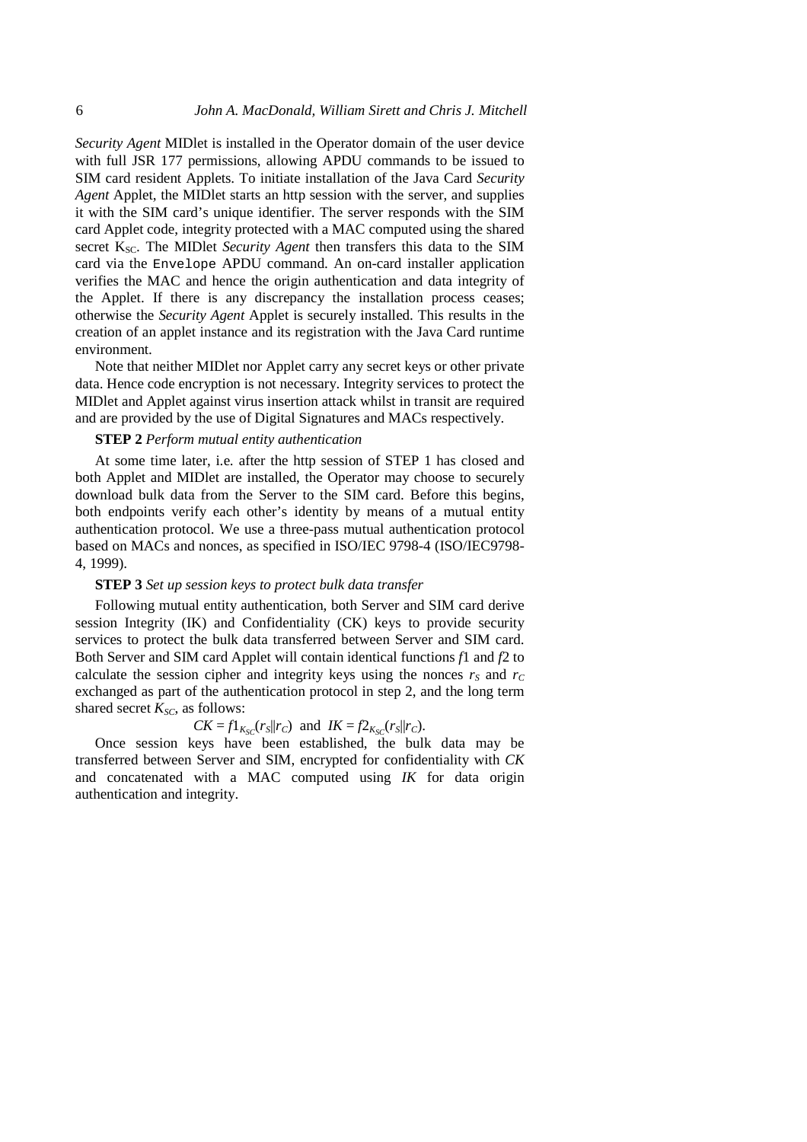*Security Agent* MIDlet is installed in the Operator domain of the user device with full JSR 177 permissions, allowing APDU commands to be issued to SIM card resident Applets. To initiate installation of the Java Card *Security Agent* Applet, the MIDlet starts an http session with the server, and supplies it with the SIM card's unique identifier. The server responds with the SIM card Applet code, integrity protected with a MAC computed using the shared secret K<sub>SC</sub>. The MIDlet *Security Agent* then transfers this data to the SIM card via the Envelope APDU command. An on-card installer application verifies the MAC and hence the origin authentication and data integrity of the Applet. If there is any discrepancy the installation process ceases; otherwise the *Security Agent* Applet is securely installed. This results in the creation of an applet instance and its registration with the Java Card runtime environment.

Note that neither MIDlet nor Applet carry any secret keys or other private data. Hence code encryption is not necessary. Integrity services to protect the MIDlet and Applet against virus insertion attack whilst in transit are required and are provided by the use of Digital Signatures and MACs respectively.

#### **STEP 2** *Perform mutual entity authentication*

At some time later, i.e. after the http session of STEP 1 has closed and both Applet and MIDlet are installed, the Operator may choose to securely download bulk data from the Server to the SIM card. Before this begins, both endpoints verify each other's identity by means of a mutual entity authentication protocol. We use a three-pass mutual authentication protocol based on MACs and nonces, as specified in ISO/IEC 9798-4 (ISO/IEC9798- 4, 1999).

#### **STEP 3** *Set up session keys to protect bulk data transfer*

Following mutual entity authentication, both Server and SIM card derive session Integrity (IK) and Confidentiality (CK) keys to provide security services to protect the bulk data transferred between Server and SIM card. Both Server and SIM card Applet will contain identical functions *f*1 and *f*2 to calculate the session cipher and integrity keys using the nonces  $r<sub>S</sub>$  and  $r<sub>C</sub>$ exchanged as part of the authentication protocol in step 2, and the long term shared secret  $K_{SC}$ , as follows:

### $CK = f1_{K_{SC}}(r_s||r_c)$  and  $IK = f2_{K_{SC}}(r_s||r_c)$ .

Once session keys have been established, the bulk data may be transferred between Server and SIM, encrypted for confidentiality with *CK* and concatenated with a MAC computed using *IK* for data origin authentication and integrity.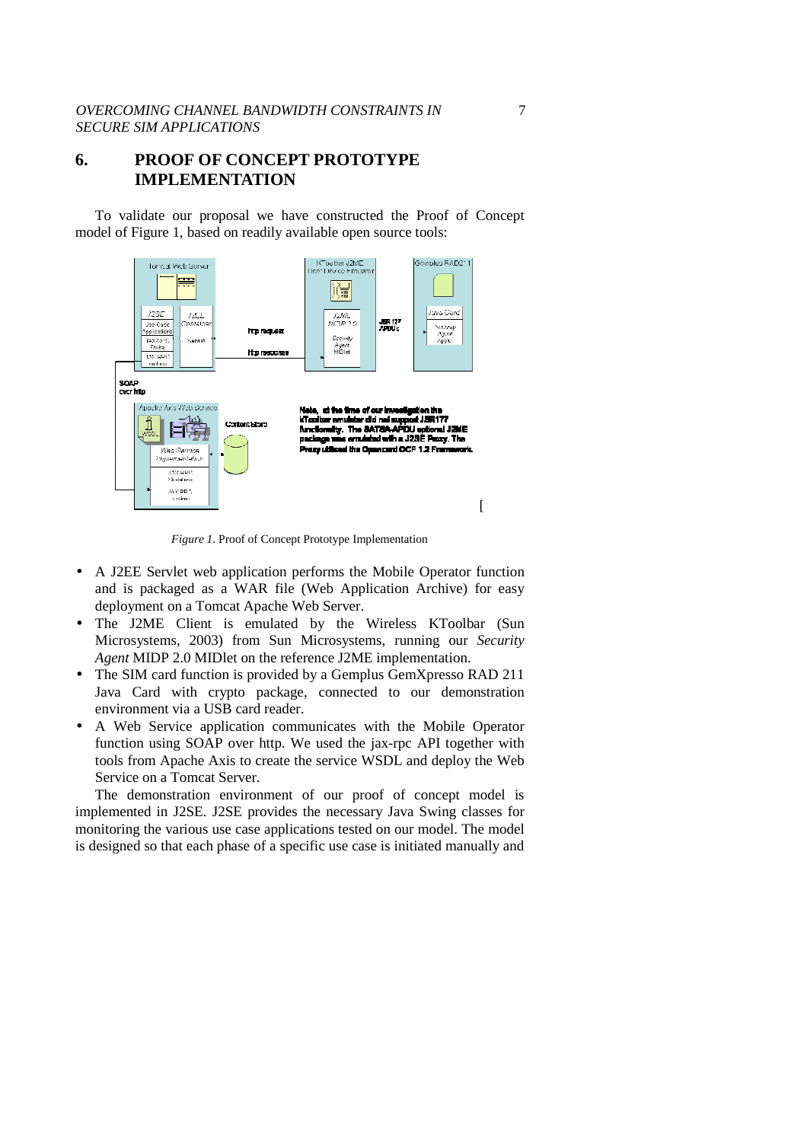## **6. PROOF OF CONCEPT PROTOTYPE IMPLEMENTATION**

To validate our proposal we have constructed the Proof of Concept model of Figure 1, based on readily available open source tools:



*Figure 1.* Proof of Concept Prototype Implementation

- A J2EE Servlet web application performs the Mobile Operator function and is packaged as a WAR file (Web Application Archive) for easy deployment on a Tomcat Apache Web Server.
- The J2ME Client is emulated by the Wireless KToolbar (Sun Microsystems, 2003) from Sun Microsystems, running our *Security Agent* MIDP 2.0 MIDlet on the reference J2ME implementation.
- The SIM card function is provided by a Gemplus GemXpresso RAD 211 Java Card with crypto package, connected to our demonstration environment via a USB card reader.
- A Web Service application communicates with the Mobile Operator function using SOAP over http. We used the jax-rpc API together with tools from Apache Axis to create the service WSDL and deploy the Web Service on a Tomcat Server.

The demonstration environment of our proof of concept model is implemented in J2SE. J2SE provides the necessary Java Swing classes for monitoring the various use case applications tested on our model. The model is designed so that each phase of a specific use case is initiated manually and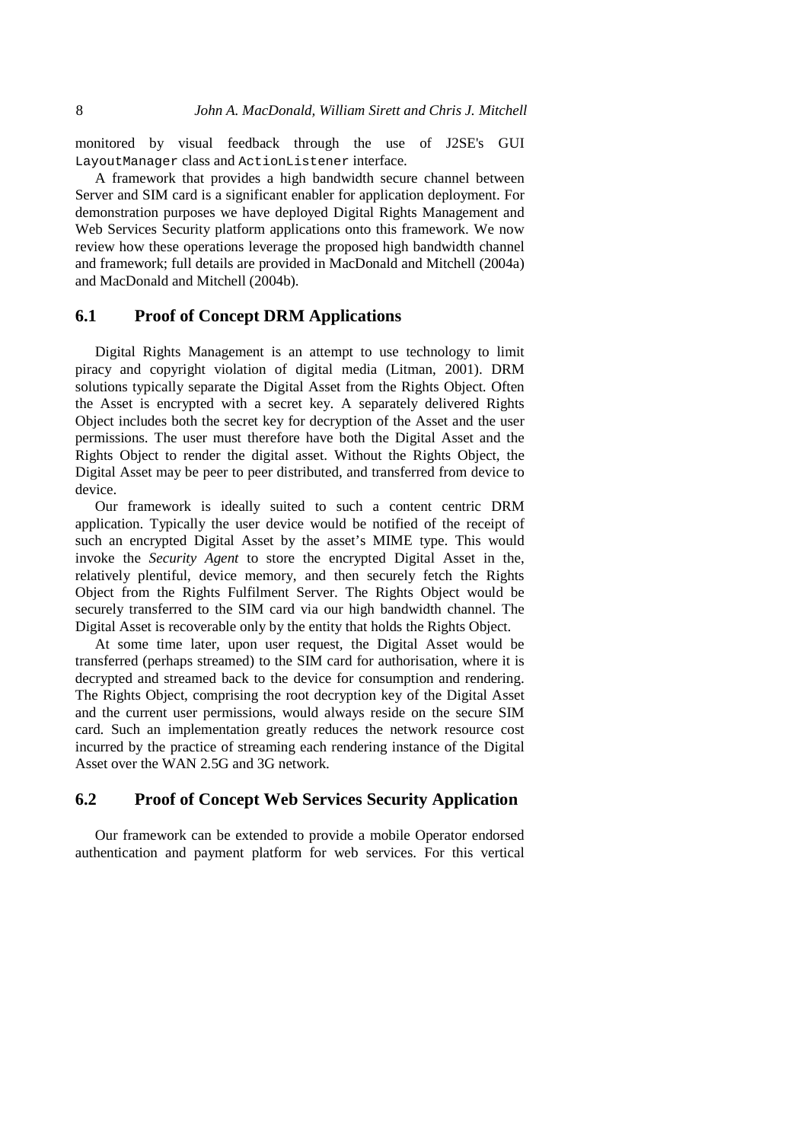monitored by visual feedback through the use of J2SE's GUI LayoutManager class and ActionListener interface.

A framework that provides a high bandwidth secure channel between Server and SIM card is a significant enabler for application deployment. For demonstration purposes we have deployed Digital Rights Management and Web Services Security platform applications onto this framework. We now review how these operations leverage the proposed high bandwidth channel and framework; full details are provided in MacDonald and Mitchell (2004a) and MacDonald and Mitchell (2004b).

### **6.1 Proof of Concept DRM Applications**

Digital Rights Management is an attempt to use technology to limit piracy and copyright violation of digital media (Litman, 2001). DRM solutions typically separate the Digital Asset from the Rights Object. Often the Asset is encrypted with a secret key. A separately delivered Rights Object includes both the secret key for decryption of the Asset and the user permissions. The user must therefore have both the Digital Asset and the Rights Object to render the digital asset. Without the Rights Object, the Digital Asset may be peer to peer distributed, and transferred from device to device.

Our framework is ideally suited to such a content centric DRM application. Typically the user device would be notified of the receipt of such an encrypted Digital Asset by the asset's MIME type. This would invoke the *Security Agent* to store the encrypted Digital Asset in the, relatively plentiful, device memory, and then securely fetch the Rights Object from the Rights Fulfilment Server. The Rights Object would be securely transferred to the SIM card via our high bandwidth channel. The Digital Asset is recoverable only by the entity that holds the Rights Object.

At some time later, upon user request, the Digital Asset would be transferred (perhaps streamed) to the SIM card for authorisation, where it is decrypted and streamed back to the device for consumption and rendering. The Rights Object, comprising the root decryption key of the Digital Asset and the current user permissions, would always reside on the secure SIM card. Such an implementation greatly reduces the network resource cost incurred by the practice of streaming each rendering instance of the Digital Asset over the WAN 2.5G and 3G network.

## **6.2 Proof of Concept Web Services Security Application**

Our framework can be extended to provide a mobile Operator endorsed authentication and payment platform for web services. For this vertical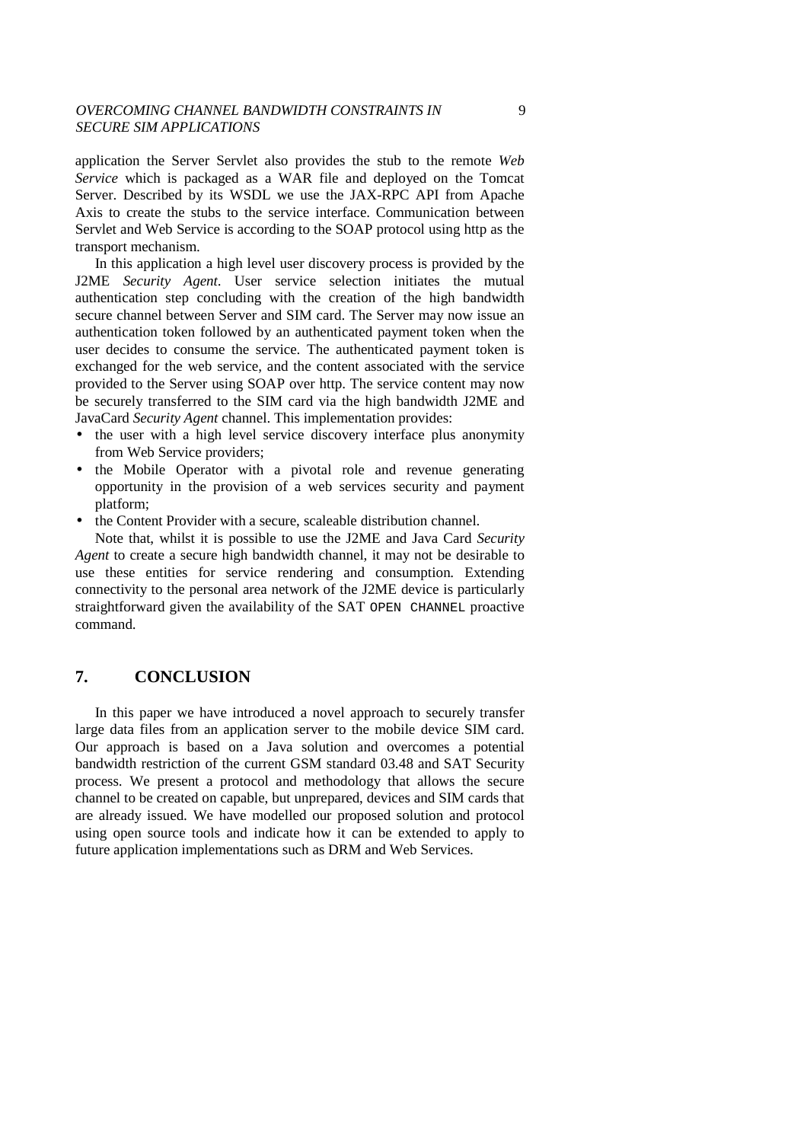application the Server Servlet also provides the stub to the remote *Web Service* which is packaged as a WAR file and deployed on the Tomcat Server. Described by its WSDL we use the JAX-RPC API from Apache Axis to create the stubs to the service interface. Communication between Servlet and Web Service is according to the SOAP protocol using http as the transport mechanism.

In this application a high level user discovery process is provided by the J2ME *Security Agent*. User service selection initiates the mutual authentication step concluding with the creation of the high bandwidth secure channel between Server and SIM card. The Server may now issue an authentication token followed by an authenticated payment token when the user decides to consume the service. The authenticated payment token is exchanged for the web service, and the content associated with the service provided to the Server using SOAP over http. The service content may now be securely transferred to the SIM card via the high bandwidth J2ME and JavaCard *Security Agent* channel. This implementation provides:

- the user with a high level service discovery interface plus anonymity from Web Service providers;
- the Mobile Operator with a pivotal role and revenue generating opportunity in the provision of a web services security and payment platform;
- the Content Provider with a secure, scaleable distribution channel.

Note that, whilst it is possible to use the J2ME and Java Card *Security Agent* to create a secure high bandwidth channel, it may not be desirable to use these entities for service rendering and consumption. Extending connectivity to the personal area network of the J2ME device is particularly straightforward given the availability of the SAT OPEN CHANNEL proactive command.

## **7. CONCLUSION**

In this paper we have introduced a novel approach to securely transfer large data files from an application server to the mobile device SIM card. Our approach is based on a Java solution and overcomes a potential bandwidth restriction of the current GSM standard 03.48 and SAT Security process. We present a protocol and methodology that allows the secure channel to be created on capable, but unprepared, devices and SIM cards that are already issued. We have modelled our proposed solution and protocol using open source tools and indicate how it can be extended to apply to future application implementations such as DRM and Web Services.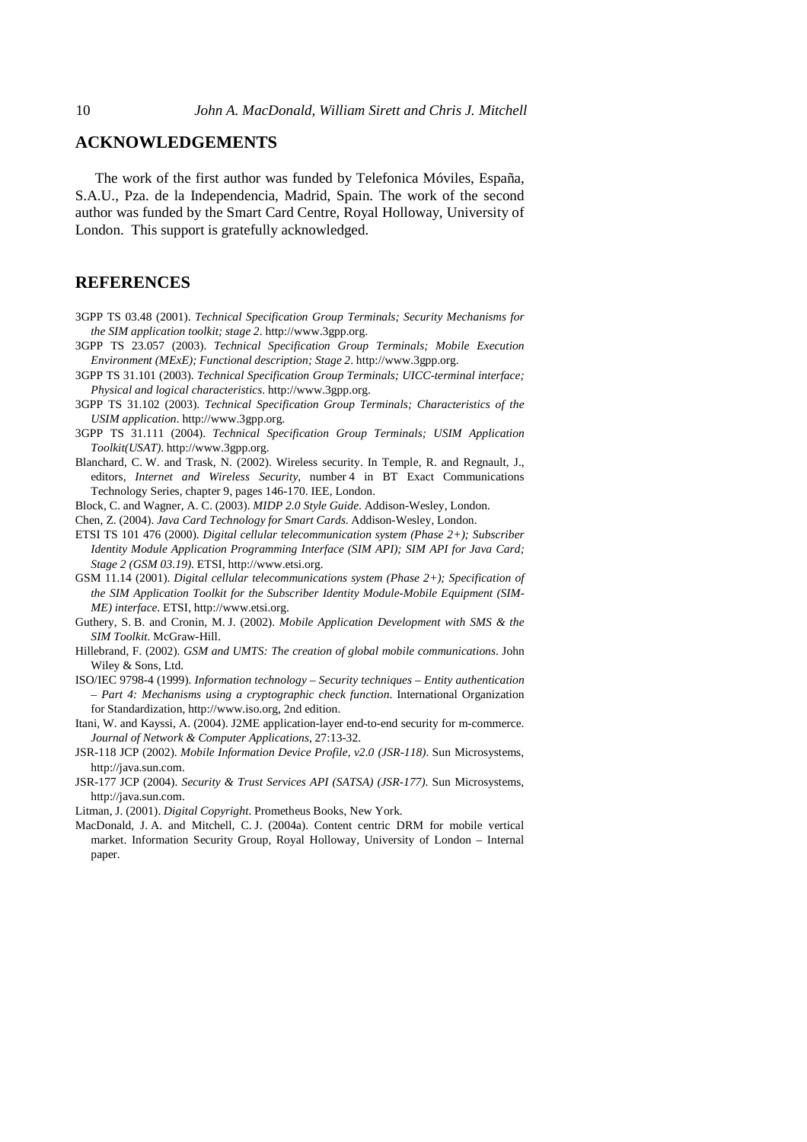## **ACKNOWLEDGEMENTS**

The work of the first author was funded by Telefonica Móviles, España, S.A.U., Pza. de la Independencia, Madrid, Spain. The work of the second author was funded by the Smart Card Centre, Royal Holloway, University of London. This support is gratefully acknowledged.

### **REFERENCES**

- 3GPP TS 03.48 (2001). *Technical Specification Group Terminals; Security Mechanisms for the SIM application toolkit; stage 2*. http://www.3gpp.org.
- 3GPP TS 23.057 (2003). *Technical Specification Group Terminals; Mobile Execution Environment (MExE); Functional description; Stage 2*. http://www.3gpp.org.
- 3GPP TS 31.101 (2003). *Technical Specification Group Terminals; UICC-terminal interface; Physical and logical characteristics*. http://www.3gpp.org.
- 3GPP TS 31.102 (2003). *Technical Specification Group Terminals; Characteristics of the USIM application*. http://www.3gpp.org.
- 3GPP TS 31.111 (2004). *Technical Specification Group Terminals; USIM Application Toolkit(USAT)*. http://www.3gpp.org.
- Blanchard, C. W. and Trask, N. (2002). Wireless security. In Temple, R. and Regnault, J., editors, *Internet and Wireless Security*, number 4 in BT Exact Communications Technology Series, chapter 9, pages 146-170. IEE, London.
- Block, C. and Wagner, A. C. (2003). *MIDP 2.0 Style Guide*. Addison-Wesley, London.
- Chen, Z. (2004). *Java Card Technology for Smart Cards*. Addison-Wesley, London.
- ETSI TS 101 476 (2000). *Digital cellular telecommunication system (Phase 2+); Subscriber Identity Module Application Programming Interface (SIM API); SIM API for Java Card; Stage 2 (GSM 03.19)*. ETSI, http://www.etsi.org.
- GSM 11.14 (2001). *Digital cellular telecommunications system (Phase 2+); Specification of the SIM Application Toolkit for the Subscriber Identity Module-Mobile Equipment (SIM-ME) interface*. ETSI, http://www.etsi.org.
- Guthery, S. B. and Cronin, M. J. (2002). *Mobile Application Development with SMS & the SIM Toolkit*. McGraw-Hill.
- Hillebrand, F. (2002). *GSM and UMTS: The creation of global mobile communications*. John Wiley & Sons, Ltd.
- ISO/IEC 9798-4 (1999). *Information technology Security techniques Entity authentication – Part 4: Mechanisms using a cryptographic check function*. International Organization for Standardization, http://www.iso.org, 2nd edition.
- Itani, W. and Kayssi, A. (2004). J2ME application-layer end-to-end security for m-commerce. *Journal of Network & Computer Applications*, 27:13-32.
- JSR-118 JCP (2002). *Mobile Information Device Profile, v2.0 (JSR-118)*. Sun Microsystems, http://java.sun.com.
- JSR-177 JCP (2004). *Security & Trust Services API (SATSA) (JSR-177)*. Sun Microsystems, http://java.sun.com.
- Litman, J. (2001). *Digital Copyright*. Prometheus Books, New York.
- MacDonald, J. A. and Mitchell, C. J. (2004a). Content centric DRM for mobile vertical market. Information Security Group, Royal Holloway, University of London – Internal paper.